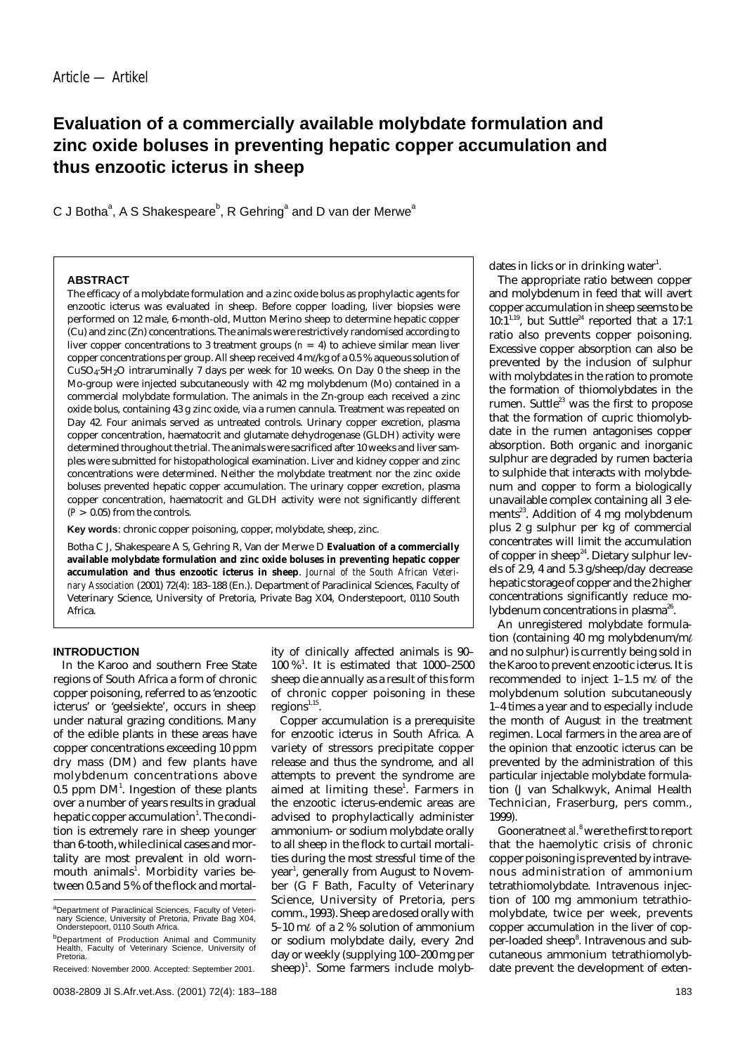# **Evaluation of a commercially available molybdate formulation and zinc oxide boluses in preventing hepatic copper accumulation and thus enzootic icterus in sheep**

C J Botha $\degree$ , A S Shakespeare $\degree$ , R Gehring $\degree$  and D van der Merwe $\degree$ 

# **ABSTRACT**

The efficacy of a molybdate formulation and a zinc oxide bolus as prophylactic agents for enzootic icterus was evaluated in sheep. Before copper loading, liver biopsies were performed on 12 male, 6-month-old, Mutton Merino sheep to determine hepatic copper (Cu) and zinc (Zn) concentrations. The animals were restrictively randomised according to liver copper concentrations to 3 treatment groups  $(n = 4)$  to achieve similar mean liver copper concentrations per group. All sheep received 4 ml/kg of a 0.5 % aqueous solution of CuSO4·5H2O intraruminally 7 days per week for 10 weeks. On Day 0 the sheep in the Mo-group were injected subcutaneously with 42 mg molybdenum (Mo) contained in a commercial molybdate formulation. The animals in the Zn-group each received a zinc oxide bolus, containing 43 g zinc oxide, via a rumen cannula. Treatment was repeated on Day 42. Four animals served as untreated controls. Urinary copper excretion, plasma copper concentration, haematocrit and glutamate dehydrogenase (GLDH) activity were determined throughout the trial. The animals were sacrificed after 10 weeks and liver samples were submitted for histopathological examination. Liver and kidney copper and zinc concentrations were determined. Neither the molybdate treatment nor the zinc oxide boluses prevented hepatic copper accumulation. The urinary copper excretion, plasma copper concentration, haematocrit and GLDH activity were not significantly different  $(P > 0.05)$  from the controls.

**Key words**: chronic copper poisoning, copper, molybdate, sheep, zinc.

Botha C J, Shakespeare A S, Gehring R, Van der Merwe D **Evaluation of a commercially available molybdate formulation and zinc oxide boluses in preventing hepatic copper accumulation and thus enzootic icterus in sheep**. *Journal of the South African Veterinary Association* (2001) 72(4): 183–188 (En.). Department of Paraclinical Sciences, Faculty of Veterinary Science, University of Pretoria, Private Bag X04, Onderstepoort, 0110 South Africa.

# **INTRODUCTION**

In the Karoo and southern Free State regions of South Africa a form of chronic copper poisoning, referred to as 'enzootic icterus' or 'geelsiekte', occurs in sheep under natural grazing conditions. Many of the edible plants in these areas have copper concentrations exceeding 10 ppm dry mass (DM) and few plants have molybdenum concentrations above 0.5 ppm  $DM<sup>1</sup>$ . Ingestion of these plants over a number of years results in gradual hepatic copper accumulation $^{\rm 1}$ . The condition is extremely rare in sheep younger than 6-tooth, while clinical cases and mortality are most prevalent in old wornmouth animals<sup>1</sup>. Morbidity varies between 0.5 and 5 % of the flock and mortality of clinically affected animals is 90– 100 %1 . It is estimated that 1000–2500 sheep die annually as a result of this form of chronic copper poisoning in these regions $1,15$ .

Copper accumulation is a prerequisite for enzootic icterus in South Africa. A variety of stressors precipitate copper release and thus the syndrome, and all attempts to prevent the syndrome are aimed at limiting these $^{\rm 1}$ . Farmers in the enzootic icterus-endemic areas are advised to prophylactically administer ammonium- or sodium molybdate orally to all sheep in the flock to curtail mortalities during the most stressful time of the year<sup>1</sup>, generally from August to November (G F Bath, Faculty of Veterinary Science, University of Pretoria, pers comm., 1993). Sheep are dosed orally with 5–10 m $\ell$  of a 2 % solution of ammonium or sodium molybdate daily, every 2nd day or weekly (supplying 100–200 mg per sheep)<sup>1</sup>. Some farmers include molybdates in licks or in drinking water $^1$ .

The appropriate ratio between copper and molybdenum in feed that will avert copper accumulation in sheep seems to be  $10:1^{1,19}$ , but Suttle<sup>24</sup> reported that a 17:1 ratio also prevents copper poisoning. Excessive copper absorption can also be prevented by the inclusion of sulphur with molybdates in the ration to promote the formation of thiomolybdates in the rumen. Suttle $^{23}$  was the first to propose that the formation of cupric thiomolybdate in the rumen antagonises copper absorption. Both organic and inorganic sulphur are degraded by rumen bacteria to sulphide that interacts with molybdenum and copper to form a biologically unavailable complex containing all 3 elements<sup>23</sup>. Addition of 4 mg molybdenum plus 2 g sulphur per kg of commercial concentrates will limit the accumulation of copper in sheep $^{24}$ . Dietary sulphur levels of 2.9, 4 and 5.3 g/sheep/day decrease hepatic storage of copper and the 2 higher concentrations significantly reduce molybdenum concentrations in plasma $^{26}$ .

An unregistered molybdate formulation (containing 40 mg molybdenum/m and no sulphur) is currently being sold in the Karoo to prevent enzootic icterus. It is recommended to inject 1–1.5 m $\ell$  of the molybdenum solution subcutaneously 1–4 times a year and to especially include the month of August in the treatment regimen. Local farmers in the area are of the opinion that enzootic icterus can be prevented by the administration of this particular injectable molybdate formulation (J van Schalkwyk, Animal Health Technician, Fraserburg, pers comm., 1999).

Gooneratne *et al.*<sup>8</sup> were the first to report that the haemolytic crisis of chronic copper poisoning is prevented by intravenous administration of ammonium tetrathiomolybdate. Intravenous injection of 100 mg ammonium tetrathiomolybdate, twice per week, prevents copper accumulation in the liver of copper-loaded sheep<sup>8</sup>. Intravenous and subcutaneous ammonium tetrathiomolybdate prevent the development of exten-

a Department of Paraclinical Sciences, Faculty of Veteri-nary Science, University of Pretoria, Private Bag X04, Onderstepoort, 0110 South Africa.

**b**Department of Production Animal and Community Health, Faculty of Veterinary Science, University of Pretoria.

Received: November 2000. Accepted: September 2001.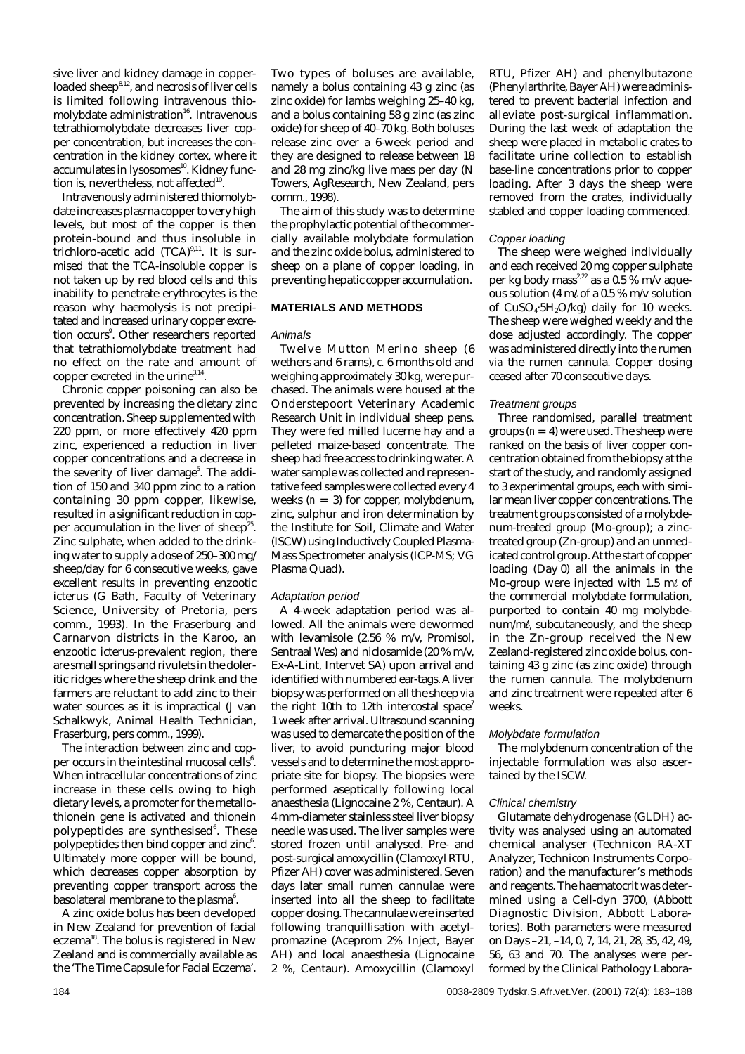sive liver and kidney damage in copperloaded sheep<sup>8,12</sup>, and necrosis of liver cells is limited following intravenous thiomolybdate administration<sup>16</sup>. Intravenous tetrathiomolybdate decreases liver copper concentration, but increases the concentration in the kidney cortex, where it accumulates in lysosomes<sup>10</sup>. Kidney function is, nevertheless, not affected<sup>10</sup>.

Intravenously administered thiomolybdate increases plasma copper to very high levels, but most of the copper is then protein-bound and thus insoluble in trichloro-acetic acid (TCA) $9,11$ . It is surmised that the TCA-insoluble copper is not taken up by red blood cells and this inability to penetrate erythrocytes is the reason why haemolysis is not precipitated and increased urinary copper excretion occurs<sup>9</sup>. Other researchers reported that tetrathiomolybdate treatment had no effect on the rate and amount of copper excreted in the urine $3,14$ .

Chronic copper poisoning can also be prevented by increasing the dietary zinc concentration. Sheep supplemented with 220 ppm, or more effectively 420 ppm zinc, experienced a reduction in liver copper concentrations and a decrease in the severity of liver damage<sup>5</sup>. The addition of 150 and 340 ppm zinc to a ration containing 30 ppm copper, likewise, resulted in a significant reduction in copper accumulation in the liver of sheep<sup>25</sup>. Zinc sulphate, when added to the drinking water to supply a dose of 250–300 mg/ sheep/day for 6 consecutive weeks, gave excellent results in preventing enzootic icterus (G Bath, Faculty of Veterinary Science, University of Pretoria, pers comm., 1993). In the Fraserburg and Carnarvon districts in the Karoo, an enzootic icterus-prevalent region, there are small springs and rivulets in the doleritic ridges where the sheep drink and the farmers are reluctant to add zinc to their water sources as it is impractical (J van Schalkwyk, Animal Health Technician, Fraserburg, pers comm., 1999).

The interaction between zinc and copper occurs in the intestinal mucosal cells $^6$ . When intracellular concentrations of zinc increase in these cells owing to high dietary levels, a promoter for the metallothionein gene is activated and thionein polypeptides are synthesised<sup>6</sup>. These polypeptides then bind copper and zinc $6$ . Ultimately more copper will be bound, which decreases copper absorption by preventing copper transport across the basolateral membrane to the plasma $^6$ .

A zinc oxide bolus has been developed in New Zealand for prevention of facial eczema<sup>18</sup>. The bolus is registered in New Zealand and is commercially available as the 'The Time Capsule for Facial Eczema'. Two types of boluses are available, namely a bolus containing 43 g zinc (as zinc oxide) for lambs weighing 25–40 kg, and a bolus containing 58 g zinc (as zinc oxide) for sheep of 40–70 kg. Both boluses release zinc over a 6-week period and they are designed to release between 18 and 28 mg zinc/kg live mass per day (N Towers, AgResearch, New Zealand, pers comm., 1998).

The aim of this study was to determine the prophylactic potential of the commercially available molybdate formulation and the zinc oxide bolus, administered to sheep on a plane of copper loading, in preventing hepatic copper accumulation.

# **MATERIALS AND METHODS**

# Animals

Twelve Mutton Merino sheep (6 wethers and 6 rams), *c.* 6 months old and weighing approximately 30 kg, were purchased. The animals were housed at the Onderstepoort Veterinary Academic Research Unit in individual sheep pens. They were fed milled lucerne hay and a pelleted maize-based concentrate. The sheep had free access to drinking water. A water sample was collected and representative feed samples were collected every 4 weeks  $(n = 3)$  for copper, molybdenum, zinc, sulphur and iron determination by the Institute for Soil, Climate and Water (ISCW) using Inductively Coupled Plasma-Mass Spectrometer analysis (ICP-MS; VG Plasma Quad).

# Adaptation period

A 4-week adaptation period was allowed. All the animals were dewormed with levamisole (2.56 % m/v, Promisol, Sentraal Wes) and niclosamide (20 % m/v, Ex-A-Lint, Intervet SA) upon arrival and identified with numbered ear-tags. A liver biopsy was performed on all the sheep *via* the right 10th to 12th intercostal space<sup>7</sup> 1 week after arrival. Ultrasound scanning was used to demarcate the position of the liver, to avoid puncturing major blood vessels and to determine the most appropriate site for biopsy. The biopsies were performed aseptically following local anaesthesia (Lignocaine 2 %, Centaur). A 4 mm-diameter stainless steel liver biopsy needle was used. The liver samples were stored frozen until analysed. Pre- and post-surgical amoxycillin (Clamoxyl RTU, Pfizer AH) cover was administered. Seven days later small rumen cannulae were inserted into all the sheep to facilitate copper dosing. The cannulae were inserted following tranquillisation with acetylpromazine (Aceprom 2% Inject, Bayer AH) and local anaesthesia (Lignocaine 2 %, Centaur). Amoxycillin (Clamoxyl

RTU, Pfizer AH) and phenylbutazone (Phenylarthrite, Bayer AH) were administered to prevent bacterial infection and alleviate post-surgical inflammation. During the last week of adaptation the sheep were placed in metabolic crates to facilitate urine collection to establish base-line concentrations prior to copper loading. After 3 days the sheep were removed from the crates, individually stabled and copper loading commenced.

# Copper loading

The sheep were weighed individually and each received 20 mg copper sulphate per kg body mass<sup>2,22</sup> as a  $0.5\%$  m/v aqueous solution (4 m $\ell$  of a 0.5 % m/v solution of  $CuSO<sub>4</sub>·5H<sub>2</sub>O/kg$ ) daily for 10 weeks. The sheep were weighed weekly and the dose adjusted accordingly. The copper was administered directly into the rumen *via* the rumen cannula. Copper dosing ceased after 70 consecutive days.

# Treatment groups

Three randomised, parallel treatment groups  $(n = 4)$  were used. The sheep were ranked on the basis of liver copper concentration obtained from the biopsy at the start of the study, and randomly assigned to 3 experimental groups, each with similar mean liver copper concentrations. The treatment groups consisted of a molybdenum-treated group (Mo-group); a zinctreated group (Zn-group) and an unmedicated control group. At the start of copper loading (Day 0) all the animals in the Mo-group were injected with 1.5  $m\ell$  of the commercial molybdate formulation, purported to contain 40 mg molybde $num/m\ell$ , subcutaneously, and the sheep in the Zn-group received the New Zealand-registered zinc oxide bolus, containing 43 g zinc (as zinc oxide) through the rumen cannula. The molybdenum and zinc treatment were repeated after 6 weeks.

#### Molybdate formulation

The molybdenum concentration of the injectable formulation was also ascertained by the ISCW.

#### Clinical chemistry

Glutamate dehydrogenase (GLDH) activity was analysed using an automated chemical analyser (Technicon RA-XT Analyzer, Technicon Instruments Corporation) and the manufacturer's methods and reagents. The haematocrit was determined using a Cell-dyn 3700, (Abbott Diagnostic Division, Abbott Laboratories). Both parameters were measured on Days –21, –14, 0, 7, 14, 21, 28, 35, 42, 49, 56, 63 and 70. The analyses were performed by the Clinical Pathology Labora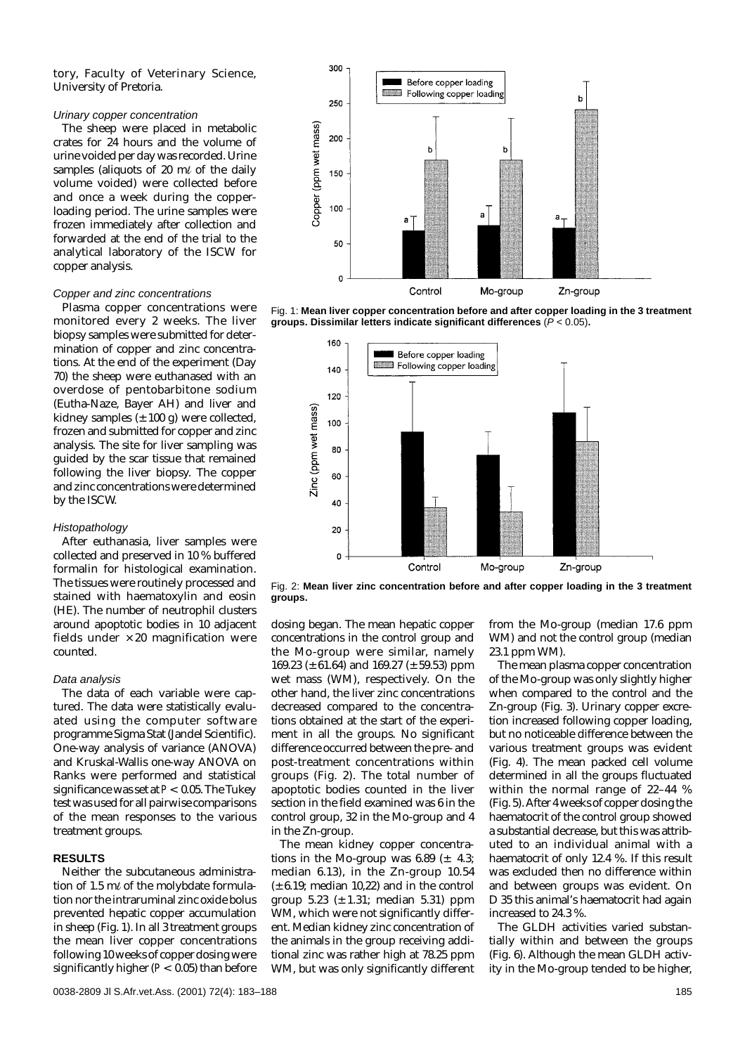tory, Faculty of Veterinary Science, University of Pretoria.

#### Urinary copper concentration

The sheep were placed in metabolic crates for 24 hours and the volume of urine voided per day was recorded. Urine samples (aliquots of 20  $m\ell$  of the daily volume voided) were collected before and once a week during the copperloading period. The urine samples were frozen immediately after collection and forwarded at the end of the trial to the analytical laboratory of the ISCW for copper analysis.

#### Copper and zinc concentrations

Plasma copper concentrations were monitored every 2 weeks. The liver biopsy samples were submitted for determination of copper and zinc concentrations. At the end of the experiment (Day 70) the sheep were euthanased with an overdose of pentobarbitone sodium (Eutha-Naze, Bayer AH) and liver and kidney samples  $(\pm 100 \text{ q})$  were collected, frozen and submitted for copper and zinc analysis. The site for liver sampling was guided by the scar tissue that remained following the liver biopsy. The copper and zinc concentrations were determined by the ISCW.

#### Histopathology

After euthanasia, liver samples were collected and preserved in 10 % buffered formalin for histological examination. The tissues were routinely processed and stained with haematoxylin and eosin (HE). The number of neutrophil clusters around apoptotic bodies in 10 adjacent fields under  $\times$  20 magnification were counted.

#### Data analysis

The data of each variable were captured. The data were statistically evaluated using the computer software programme Sigma Stat (Jandel Scientific). One-way analysis of variance (ANOVA) and Kruskal-Wallis one-way ANOVA on Ranks were performed and statistical significance was set at *P* < 0.05. The Tukey test was used for all pairwise comparisons of the mean responses to the various treatment groups.

# **RESULTS**

Neither the subcutaneous administration of 1.5  $m\ell$  of the molybdate formulation nor the intraruminal zinc oxide bolus prevented hepatic copper accumulation in sheep (Fig. 1). In all 3 treatment groups the mean liver copper concentrations following 10 weeks of copper dosing were significantly higher (*P* < 0.05) than before



Fig. 1: **Mean liver copper concentration before and after copper loading in the 3 treatment groups. Dissimilar letters indicate significant differences** (P < 0.05)**.**



Fig. 2: **Mean liver zinc concentration before and after copper loading in the 3 treatment groups.**

dosing began. The mean hepatic copper concentrations in the control group and the Mo-group were similar, namely 169.23 ( $\pm$ 61.64) and 169.27 ( $\pm$ 59.53) ppm wet mass (WM), respectively. On the other hand, the liver zinc concentrations decreased compared to the concentrations obtained at the start of the experiment in all the groups. No significant difference occurred between the pre- and post-treatment concentrations within groups (Fig. 2). The total number of apoptotic bodies counted in the liver section in the field examined was 6 in the control group, 32 in the Mo-group and 4 in the Zn-group.

The mean kidney copper concentrations in the Mo-group was 6.89 ( $\pm$  4.3; median 6.13), in the Zn-group 10.54  $(\pm 6.19)$ ; median 10,22) and in the control group  $5.23$  ( $\pm 1.31$ ; median  $5.31$ ) ppm WM, which were not significantly different. Median kidney zinc concentration of the animals in the group receiving additional zinc was rather high at 78.25 ppm WM, but was only significantly different from the Mo-group (median 17.6 ppm WM) and not the control group (median 23.1 ppm WM).

The mean plasma copper concentration of the Mo-group was only slightly higher when compared to the control and the Zn-group (Fig. 3). Urinary copper excretion increased following copper loading, but no noticeable difference between the various treatment groups was evident (Fig. 4). The mean packed cell volume determined in all the groups fluctuated within the normal range of 22–44 % (Fig. 5). After 4 weeks of copper dosing the haematocrit of the control group showed a substantial decrease, but this was attributed to an individual animal with a haematocrit of only 12.4 %. If this result was excluded then no difference within and between groups was evident. On D 35 this animal's haematocrit had again increased to 24.3 %.

The GLDH activities varied substantially within and between the groups (Fig. 6). Although the mean GLDH activity in the Mo-group tended to be higher,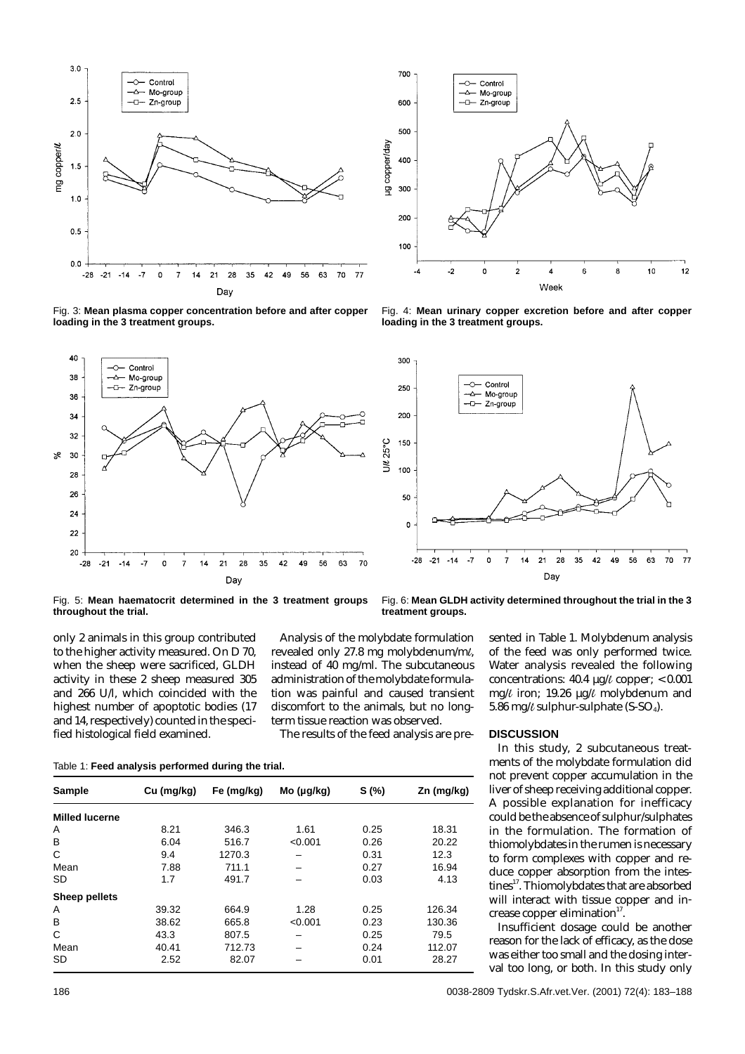

Fig. 3: **Mean plasma copper concentration before and after copper loading in the 3 treatment groups.**



100  $\overline{a}$  $\overline{z}$ ĥ. å  $10$  $12<sup>12</sup>$  $\overline{a}$ -4 O Week

Fig. 4: **Mean urinary copper excretion before and after copper loading in the 3 treatment groups.**



Fig. 6: **Mean GLDH activity determined throughout the trial in the 3**

Fig. 5: **Mean haematocrit determined in the 3 treatment groups throughout the trial.**

only 2 animals in this group contributed to the higher activity measured. On D 70, when the sheep were sacrificed, GLDH activity in these 2 sheep measured 305 and 266 U/l, which coincided with the highest number of apoptotic bodies (17 and 14, respectively) counted in the specified histological field examined.

Analysis of the molybdate formulation revealed only 27.8 mg molybdenum/m $\ell$ , instead of 40 mg/ml. The subcutaneous administration of the molybdate formulation was painful and caused transient discomfort to the animals, but no longterm tissue reaction was observed.

**treatment groups.**

700

600

500

400

300

200

 $-$  Control ⌒

-0-Zn-group

- Mo-aroup

The results of the feed analysis are pre-

sented in Table 1. Molybdenum analysis of the feed was only performed twice. Water analysis revealed the following concentrations:  $40.4 \mu g/l$  copper; <0.001 mg/ $\ell$  iron; 19.26  $\mu$ g/ $\ell$  molybdenum and 5.86 mg/ $\ell$  sulphur-sulphate (S-SO $\ell$ ).

#### **DISCUSSION**

In this study, 2 subcutaneous treatments of the molybdate formulation did not prevent copper accumulation in the liver of sheep receiving additional copper. A possible explanation for inefficacy could be the absence of sulphur/sulphates in the formulation. The formation of thiomolybdates in the rumen is necessary to form complexes with copper and reduce copper absorption from the intestines<sup>17</sup>. Thiomolybdates that are absorbed will interact with tissue copper and increase copper elimination $17$ 

Insufficient dosage could be another reason for the lack of efficacy, as the dose was either too small and the dosing interval too long, or both. In this study only

#### Table 1: **Feed analysis performed during the trial.**

| Sample                | Cu (mg/kg) | Fe (mg/kg) | $Mo$ (µg/kg) | S(% ) | Zn (mg/kg) |
|-----------------------|------------|------------|--------------|-------|------------|
| <b>Milled lucerne</b> |            |            |              |       |            |
| Α                     | 8.21       | 346.3      | 1.61         | 0.25  | 18.31      |
| в                     | 6.04       | 516.7      | < 0.001      | 0.26  | 20.22      |
| C                     | 9.4        | 1270.3     |              | 0.31  | 12.3       |
| Mean                  | 7.88       | 711.1      |              | 0.27  | 16.94      |
| <b>SD</b>             | 1.7        | 491.7      |              | 0.03  | 4.13       |
| Sheep pellets         |            |            |              |       |            |
| Α                     | 39.32      | 664.9      | 1.28         | 0.25  | 126.34     |
| в                     | 38.62      | 665.8      | < 0.001      | 0.23  | 130.36     |
| C                     | 43.3       | 807.5      |              | 0.25  | 79.5       |
| Mean                  | 40.41      | 712.73     |              | 0.24  | 112.07     |
| <b>SD</b>             | 2.52       | 82.07      |              | 0.01  | 28.27      |

186 0038-2809 Tydskr.S.Afr.vet.Ver. (2001) 72(4): 183–188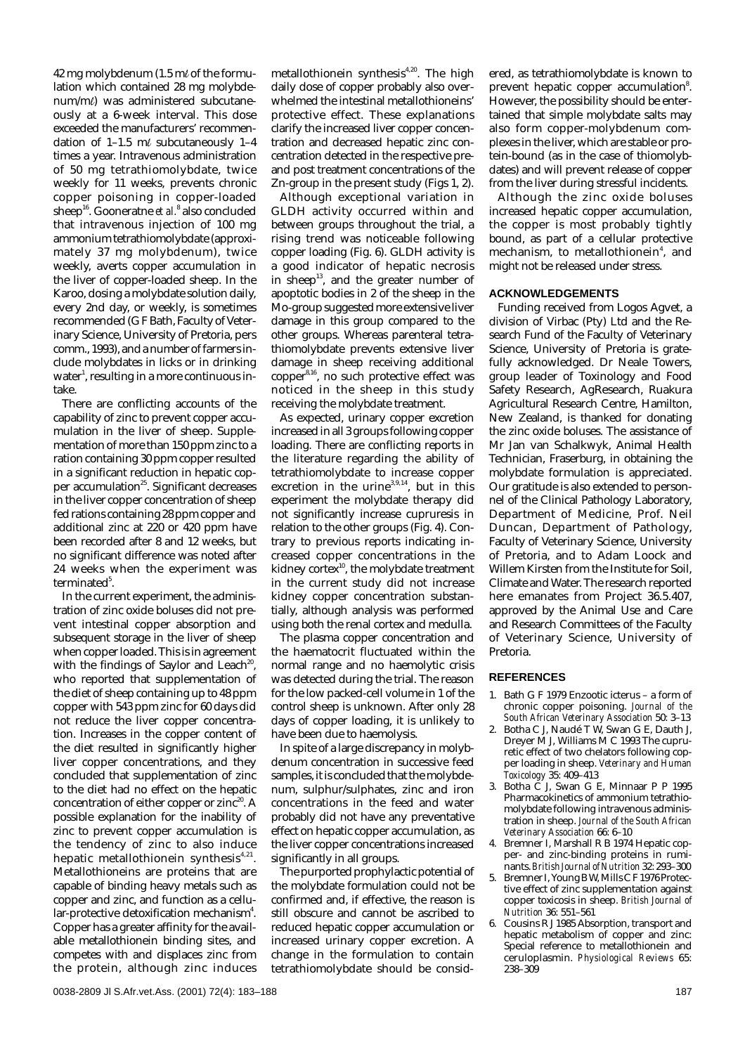42 mg molybdenum (1.5 m $\ell$  of the formulation which contained 28 mg molybdenum/ml) was administered subcutaneously at a 6-week interval. This dose exceeded the manufacturers' recommendation of 1-1.5  $m\ell$  subcutaneously 1-4 times a year. Intravenous administration of 50 mg tetrathiomolybdate, twice weekly for 11 weeks, prevents chronic copper poisoning in copper-loaded sheep16. Gooneratne *et al.*<sup>8</sup> also concluded that intravenous injection of 100 mg ammonium tetrathiomolybdate (approximately 37 mg molybdenum), twice weekly, averts copper accumulation in the liver of copper-loaded sheep. In the Karoo, dosing a molybdate solution daily, every 2nd day, or weekly, is sometimes recommended (G F Bath, Faculty of Veterinary Science, University of Pretoria, pers comm., 1993), and a number of farmers include molybdates in licks or in drinking water<sup>1</sup>, resulting in a more continuous intake.

There are conflicting accounts of the capability of zinc to prevent copper accumulation in the liver of sheep. Supplementation of more than 150 ppm zinc to a ration containing 30 ppm copper resulted in a significant reduction in hepatic copper accumulation<sup>25</sup>. Significant decreases in the liver copper concentration of sheep fed rations containing 28 ppm copper and additional zinc at 220 or 420 ppm have been recorded after 8 and 12 weeks, but no significant difference was noted after 24 weeks when the experiment was terminated<sup>5</sup>.

In the current experiment, the administration of zinc oxide boluses did not prevent intestinal copper absorption and subsequent storage in the liver of sheep when copper loaded. This is in agreement with the findings of Saylor and Leach<sup>20</sup>, who reported that supplementation of the diet of sheep containing up to 48 ppm copper with 543 ppm zinc for 60 days did not reduce the liver copper concentration. Increases in the copper content of the diet resulted in significantly higher liver copper concentrations, and they concluded that supplementation of zinc to the diet had no effect on the hepatic concentration of either copper or  $zinc^{20}$ . A possible explanation for the inability of zinc to prevent copper accumulation is the tendency of zinc to also induce hepatic metallothionein synthesis $4,2$ Metallothioneins are proteins that are capable of binding heavy metals such as copper and zinc, and function as a cellular-protective detoxification mechanism $^4$ . Copper has a greater affinity for the available metallothionein binding sites, and competes with and displaces zinc from the protein, although zinc induces

metallothionein synthesis<sup>4,20</sup>. The high daily dose of copper probably also overwhelmed the intestinal metallothioneins' protective effect. These explanations clarify the increased liver copper concentration and decreased hepatic zinc concentration detected in the respective preand post treatment concentrations of the Zn-group in the present study (Figs 1, 2).

Although exceptional variation in GLDH activity occurred within and between groups throughout the trial, a rising trend was noticeable following copper loading (Fig. 6). GLDH activity is a good indicator of hepatic necrosis in sheep $^{13}$ , and the greater number of apoptotic bodies in 2 of the sheep in the Mo-group suggested more extensive liver damage in this group compared to the other groups. Whereas parenteral tetrathiomolybdate prevents extensive liver damage in sheep receiving additional copper8,16, no such protective effect was noticed in the sheep in this study receiving the molybdate treatment.

As expected, urinary copper excretion increased in all 3 groups following copper loading. There are conflicting reports in the literature regarding the ability of tetrathiomolybdate to increase copper excretion in the urine<sup>3,9,14</sup>, but in this experiment the molybdate therapy did not significantly increase cupruresis in relation to the other groups (Fig. 4). Contrary to previous reports indicating increased copper concentrations in the kidney cortex<sup>10</sup>, the molybdate treatment in the current study did not increase kidney copper concentration substantially, although analysis was performed using both the renal cortex and medulla.

The plasma copper concentration and the haematocrit fluctuated within the normal range and no haemolytic crisis was detected during the trial. The reason for the low packed-cell volume in 1 of the control sheep is unknown. After only 28 days of copper loading, it is unlikely to have been due to haemolysis.

In spite of a large discrepancy in molybdenum concentration in successive feed samples, it is concluded that the molybdenum, sulphur/sulphates, zinc and iron concentrations in the feed and water probably did not have any preventative effect on hepatic copper accumulation, as the liver copper concentrations increased significantly in all groups.

The purported prophylactic potential of the molybdate formulation could not be confirmed and, if effective, the reason is still obscure and cannot be ascribed to reduced hepatic copper accumulation or increased urinary copper excretion. A change in the formulation to contain tetrathiomolybdate should be considered, as tetrathiomolybdate is known to prevent hepatic copper accumulation<sup>8</sup>. However, the possibility should be entertained that simple molybdate salts may also form copper-molybdenum complexes in the liver, which are stable or protein-bound (as in the case of thiomolybdates) and will prevent release of copper from the liver during stressful incidents.

Although the zinc oxide boluses increased hepatic copper accumulation, the copper is most probably tightly bound, as part of a cellular protective mechanism, to metallothionein $^4$ , and might not be released under stress.

#### **ACKNOWLEDGEMENTS**

Funding received from Logos Agvet, a division of Virbac (Pty) Ltd and the Research Fund of the Faculty of Veterinary Science, University of Pretoria is gratefully acknowledged. Dr Neale Towers, group leader of Toxinology and Food Safety Research, AgResearch, Ruakura Agricultural Research Centre, Hamilton, New Zealand, is thanked for donating the zinc oxide boluses. The assistance of Mr Jan van Schalkwyk, Animal Health Technician, Fraserburg, in obtaining the molybdate formulation is appreciated. Our gratitude is also extended to personnel of the Clinical Pathology Laboratory, Department of Medicine, Prof. Neil Duncan, Department of Pathology, Faculty of Veterinary Science, University of Pretoria, and to Adam Loock and Willem Kirsten from the Institute for Soil, Climate and Water. The research reported here emanates from Project 36.5.407, approved by the Animal Use and Care and Research Committees of the Faculty of Veterinary Science, University of Pretoria.

#### **REFERENCES**

- 1. Bath G F 1979 Enzootic icterus a form of chronic copper poisoning. *Journal of the South African Veterinary Association* 50: 3–13
- 2. Botha C J, Naudé T W, Swan G E, Dauth J, Dreyer M J, Williams M C 1993 The cupruretic effect of two chelators following copper loading in sheep. *Veterinary and Human Toxicology* 35: 409–413
- 3. Botha C J, Swan G E, Minnaar P P 1995 Pharmacokinetics of ammonium tetrathiomolybdate following intravenous administration in sheep. *Journal of the South African Veterinary Association* 66: 6–10
- 4. Bremner I, Marshall R B 1974 Hepatic copper- and zinc-binding proteins in ruminants.*British Journal of Nutrition* 32: 293–300
- 5. Bremner I, Young B W, Mills C F 1976 Protective effect of zinc supplementation against copper toxicosis in sheep. *British Journal of Nutrition* 36: 551–561
- 6. Cousins R J 1985 Absorption, transport and hepatic metabolism of copper and zinc: Special reference to metallothionein and ceruloplasmin. *Physiological Reviews* 65: 238–309